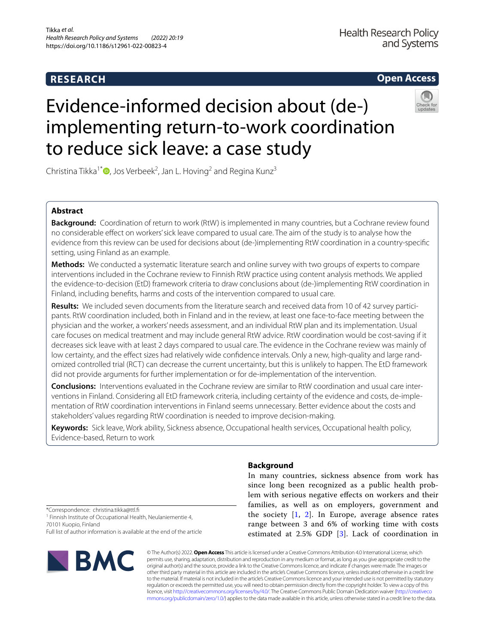# **RESEARCH**

# **Open Access**

# Evidence-informed decision about (de-) implementing return-to-work coordination to reduce sick leave: a case study

Christina Tikka<sup>1[\\*](http://orcid.org/0000-0003-2078-8715)</sup><sup>®</sup>, Jos Verbeek<sup>2</sup>, Jan L. Hoving<sup>2</sup> and Regina Kunz<sup>3</sup>

# **Abstract**

**Background:** Coordination of return to work (RtW) is implemented in many countries, but a Cochrane review found no considerable efect on workers' sick leave compared to usual care. The aim of the study is to analyse how the evidence from this review can be used for decisions about (de-)implementing RtW coordination in a country-specifc setting, using Finland as an example.

**Methods:** We conducted a systematic literature search and online survey with two groups of experts to compare interventions included in the Cochrane review to Finnish RtW practice using content analysis methods. We applied the evidence-to-decision (EtD) framework criteria to draw conclusions about (de-)implementing RtW coordination in Finland, including benefts, harms and costs of the intervention compared to usual care.

**Results:** We included seven documents from the literature search and received data from 10 of 42 survey participants. RtW coordination included, both in Finland and in the review, at least one face-to-face meeting between the physician and the worker, a workers' needs assessment, and an individual RtW plan and its implementation. Usual care focuses on medical treatment and may include general RtW advice. RtW coordination would be cost-saving if it decreases sick leave with at least 2 days compared to usual care. The evidence in the Cochrane review was mainly of low certainty, and the effect sizes had relatively wide confidence intervals. Only a new, high-quality and large randomized controlled trial (RCT) can decrease the current uncertainty, but this is unlikely to happen. The EtD framework did not provide arguments for further implementation or for de-implementation of the intervention.

**Conclusions:** Interventions evaluated in the Cochrane review are similar to RtW coordination and usual care interventions in Finland. Considering all EtD framework criteria, including certainty of the evidence and costs, de-implementation of RtW coordination interventions in Finland seems unnecessary. Better evidence about the costs and stakeholders' values regarding RtW coordination is needed to improve decision-making.

**Keywords:** Sick leave, Work ability, Sickness absence, Occupational health services, Occupational health policy, Evidence-based, Return to work

# **Background**

In many countries, sickness absence from work has since long been recognized as a public health problem with serious negative efects on workers and their families, as well as on employers, government and the society  $[1, 2]$  $[1, 2]$  $[1, 2]$  $[1, 2]$ . In Europe, average absence rates range between 3 and 6% of working time with costs estimated at 2.5% GDP [[3\]](#page-7-2). Lack of coordination in

\*Correspondence: christina.tikka@ttl.f <sup>1</sup> Finnish Institute of Occupational Health, Neulaniementie 4, 70101 Kuopio, Finland Full list of author information is available at the end of the article



© The Author(s) 2022. **Open Access** This article is licensed under a Creative Commons Attribution 4.0 International License, which permits use, sharing, adaptation, distribution and reproduction in any medium or format, as long as you give appropriate credit to the original author(s) and the source, provide a link to the Creative Commons licence, and indicate if changes were made. The images or other third party material in this article are included in the article's Creative Commons licence, unless indicated otherwise in a credit line to the material. If material is not included in the article's Creative Commons licence and your intended use is not permitted by statutory regulation or exceeds the permitted use, you will need to obtain permission directly from the copyright holder. To view a copy of this licence, visit [http://creativecommons.org/licenses/by/4.0/.](http://creativecommons.org/licenses/by/4.0/) The Creative Commons Public Domain Dedication waiver ([http://creativeco](http://creativecommons.org/publicdomain/zero/1.0/) [mmons.org/publicdomain/zero/1.0/](http://creativecommons.org/publicdomain/zero/1.0/)) applies to the data made available in this article, unless otherwise stated in a credit line to the data.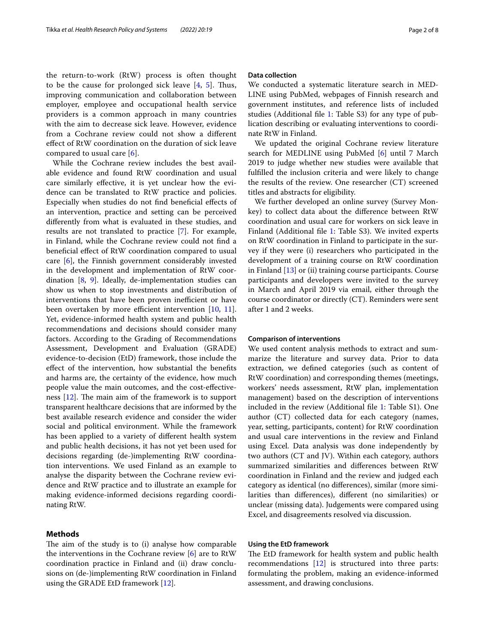the return-to-work (RtW) process is often thought to be the cause for prolonged sick leave  $[4, 5]$  $[4, 5]$  $[4, 5]$ . Thus, improving communication and collaboration between employer, employee and occupational health service providers is a common approach in many countries with the aim to decrease sick leave. However, evidence from a Cochrane review could not show a diferent efect of RtW coordination on the duration of sick leave compared to usual care [\[6](#page-7-5)].

While the Cochrane review includes the best available evidence and found RtW coordination and usual care similarly efective, it is yet unclear how the evidence can be translated to RtW practice and policies. Especially when studies do not fnd benefcial efects of an intervention, practice and setting can be perceived diferently from what is evaluated in these studies, and results are not translated to practice [\[7](#page-7-6)]. For example, in Finland, while the Cochrane review could not fnd a benefcial efect of RtW coordination compared to usual care [\[6](#page-7-5)], the Finnish government considerably invested in the development and implementation of RtW coordination [[8,](#page-7-7) [9\]](#page-7-8). Ideally, de-implementation studies can show us when to stop investments and distribution of interventions that have been proven inefficient or have been overtaken by more efficient intervention  $[10, 11]$  $[10, 11]$  $[10, 11]$  $[10, 11]$ . Yet, evidence-informed health system and public health recommendations and decisions should consider many factors. According to the Grading of Recommendations Assessment, Development and Evaluation (GRADE) evidence-to-decision (EtD) framework, those include the efect of the intervention, how substantial the benefts and harms are, the certainty of the evidence, how much people value the main outcomes, and the cost-efectiveness  $[12]$  $[12]$ . The main aim of the framework is to support transparent healthcare decisions that are informed by the best available research evidence and consider the wider social and political environment. While the framework has been applied to a variety of diferent health system and public health decisions, it has not yet been used for decisions regarding (de-)implementing RtW coordination interventions. We used Finland as an example to analyse the disparity between the Cochrane review evidence and RtW practice and to illustrate an example for making evidence-informed decisions regarding coordinating RtW.

### **Methods**

The aim of the study is to (i) analyse how comparable the interventions in the Cochrane review [\[6](#page-7-5)] are to RtW coordination practice in Finland and (ii) draw conclusions on (de-)implementing RtW coordination in Finland using the GRADE EtD framework [\[12](#page-7-11)].

### **Data collection**

We conducted a systematic literature search in MED-LINE using PubMed, webpages of Finnish research and government institutes, and reference lists of included studies (Additional fle [1](#page-6-0): Table S3) for any type of publication describing or evaluating interventions to coordinate RtW in Finland.

We updated the original Cochrane review literature search for MEDLINE using PubMed [\[6](#page-7-5)] until 7 March 2019 to judge whether new studies were available that fulflled the inclusion criteria and were likely to change the results of the review. One researcher (CT) screened titles and abstracts for eligibility.

We further developed an online survey (Survey Monkey) to collect data about the diference between RtW coordination and usual care for workers on sick leave in Finland (Additional fle [1:](#page-6-0) Table S3). We invited experts on RtW coordination in Finland to participate in the survey if they were (i) researchers who participated in the development of a training course on RtW coordination in Finland [\[13](#page-7-12)] or (ii) training course participants. Course participants and developers were invited to the survey in March and April 2019 via email, either through the course coordinator or directly (CT). Reminders were sent after 1 and 2 weeks.

#### **Comparison of interventions**

We used content analysis methods to extract and summarize the literature and survey data. Prior to data extraction, we defned categories (such as content of RtW coordination) and corresponding themes (meetings, workers' needs assessment, RtW plan, implementation management) based on the description of interventions included in the review (Additional fle [1:](#page-6-0) Table S1). One author (CT) collected data for each category (names, year, setting, participants, content) for RtW coordination and usual care interventions in the review and Finland using Excel. Data analysis was done independently by two authors (CT and JV). Within each category, authors summarized similarities and diferences between RtW coordination in Finland and the review and judged each category as identical (no diferences), similar (more similarities than diferences), diferent (no similarities) or unclear (missing data). Judgements were compared using Excel, and disagreements resolved via discussion.

### **Using the EtD framework**

The EtD framework for health system and public health recommendations [[12](#page-7-11)] is structured into three parts: formulating the problem, making an evidence-informed assessment, and drawing conclusions.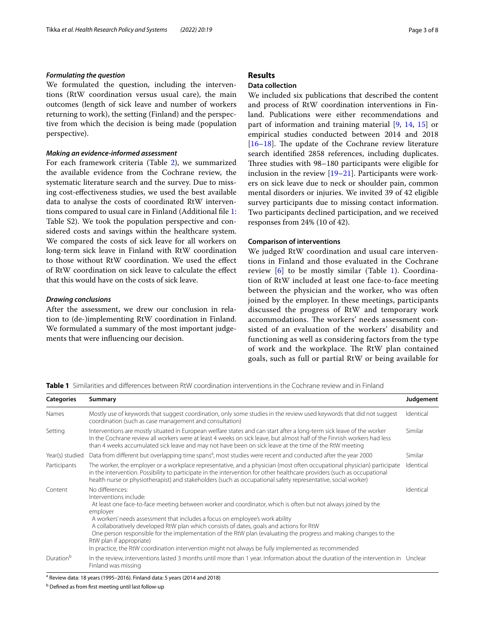#### *Formulating the question*

We formulated the question, including the interventions (RtW coordination versus usual care), the main outcomes (length of sick leave and number of workers returning to work), the setting (Finland) and the perspective from which the decision is being made (population perspective).

## *Making an evidence‑informed assessment*

For each framework criteria (Table [2\)](#page-3-0), we summarized the available evidence from the Cochrane review, the systematic literature search and the survey. Due to missing cost-efectiveness studies, we used the best available data to analyse the costs of coordinated RtW interventions compared to usual care in Finland (Additional fle [1](#page-6-0): Table S2). We took the population perspective and considered costs and savings within the healthcare system. We compared the costs of sick leave for all workers on long-term sick leave in Finland with RtW coordination to those without RtW coordination. We used the efect of RtW coordination on sick leave to calculate the efect that this would have on the costs of sick leave.

#### *Drawing conclusions*

After the assessment, we drew our conclusion in relation to (de-)implementing RtW coordination in Finland. We formulated a summary of the most important judgements that were infuencing our decision.

# **Results**

# **Data collection**

We included six publications that described the content and process of RtW coordination interventions in Finland. Publications were either recommendations and part of information and training material [\[9,](#page-7-8) [14,](#page-7-13) [15\]](#page-7-14) or empirical studies conducted between 2014 and 2018  $[16–18]$  $[16–18]$  $[16–18]$ . The update of the Cochrane review literature search identifed 2858 references, including duplicates. Three studies with 98-180 participants were eligible for inclusion in the review [[19–](#page-7-17)[21](#page-7-18)]. Participants were workers on sick leave due to neck or shoulder pain, common mental disorders or injuries. We invited 39 of 42 eligible survey participants due to missing contact information. Two participants declined participation, and we received responses from 24% (10 of 42).

#### **Comparison of interventions**

We judged RtW coordination and usual care interventions in Finland and those evaluated in the Cochrane review [[6\]](#page-7-5) to be mostly similar (Table [1\)](#page-2-0). Coordination of RtW included at least one face-to-face meeting between the physician and the worker, who was often joined by the employer. In these meetings, participants discussed the progress of RtW and temporary work accommodations. The workers' needs assessment consisted of an evaluation of the workers' disability and functioning as well as considering factors from the type of work and the workplace. The RtW plan contained goals, such as full or partial RtW or being available for

<span id="page-2-0"></span>**Table 1** Similarities and diferences between RtW coordination interventions in the Cochrane review and in Finland

| <b>Categories</b>     | Summary                                                                                                                                                                                                                                                                                                                                                                                                                                                                                                                                                                                                  | Judgement |
|-----------------------|----------------------------------------------------------------------------------------------------------------------------------------------------------------------------------------------------------------------------------------------------------------------------------------------------------------------------------------------------------------------------------------------------------------------------------------------------------------------------------------------------------------------------------------------------------------------------------------------------------|-----------|
| Names                 | Mostly use of keywords that suggest coordination, only some studies in the review used keywords that did not suggest<br>coordination (such as case management and consultation)                                                                                                                                                                                                                                                                                                                                                                                                                          | Identical |
| Setting               | Interventions are mostly situated in European welfare states and can start after a long-term sick leave of the worker<br>In the Cochrane review all workers were at least 4 weeks on sick leave, but almost half of the Finnish workers had less<br>than 4 weeks accumulated sick leave and may not have been on sick leave at the time of the RtW meeting                                                                                                                                                                                                                                               | Similar   |
| Year(s) studied       | Data from different but overlapping time spans <sup>a</sup> , most studies were recent and conducted after the year 2000                                                                                                                                                                                                                                                                                                                                                                                                                                                                                 | Similar   |
| Participants          | The worker, the employer or a workplace representative, and a physician (most often occupational physician) participate<br>in the intervention. Possibility to participate in the intervention for other healthcare providers (such as occupational<br>health nurse or physiotherapist) and stakeholders (such as occupational safety representative, social worker)                                                                                                                                                                                                                                     | Identical |
| Content               | No differences:<br>Interventions include:<br>At least one face-to-face meeting between worker and coordinator, which is often but not always joined by the<br>employer<br>A workers' needs assessment that includes a focus on employee's work ability<br>A collaboratively developed RtW plan which consists of dates, goals and actions for RtW<br>One person responsible for the implementation of the RtW plan (evaluating the progress and making changes to the<br>RtW plan if appropriate)<br>In practice, the RtW coordination intervention might not always be fully implemented as recommended | Identical |
| Duration <sup>b</sup> | In the review, interventions lasted 3 months until more than 1 year. Information about the duration of the intervention in Unclear<br>Finland was missing                                                                                                                                                                                                                                                                                                                                                                                                                                                |           |

<sup>a</sup> Review data: 18 years (1995–2016). Finland data: 5 years (2014 and 2018)

b Defned as from frst meeting until last follow-up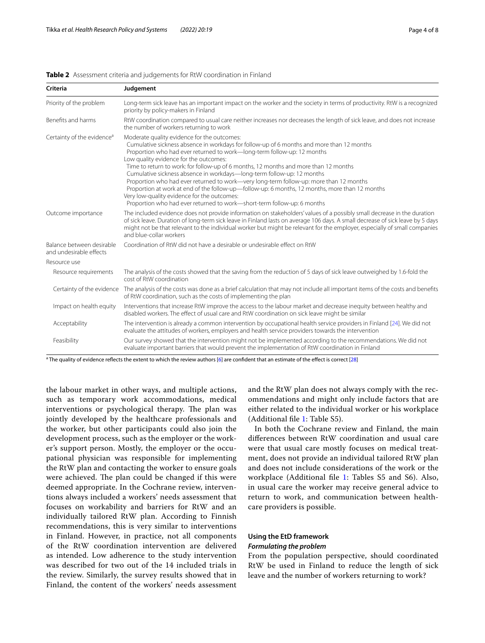| Criteria                                             | Judgement                                                                                                                                                                                                                                                                                                                                                                                                                                                                                                                                                                                                                                                                                                                                             |  |  |  |  |
|------------------------------------------------------|-------------------------------------------------------------------------------------------------------------------------------------------------------------------------------------------------------------------------------------------------------------------------------------------------------------------------------------------------------------------------------------------------------------------------------------------------------------------------------------------------------------------------------------------------------------------------------------------------------------------------------------------------------------------------------------------------------------------------------------------------------|--|--|--|--|
| Priority of the problem                              | Long-term sick leave has an important impact on the worker and the society in terms of productivity. RtW is a recognized<br>priority by policy-makers in Finland                                                                                                                                                                                                                                                                                                                                                                                                                                                                                                                                                                                      |  |  |  |  |
| Benefits and harms                                   | RtW coordination compared to usual care neither increases nor decreases the length of sick leave, and does not increase<br>the number of workers returning to work                                                                                                                                                                                                                                                                                                                                                                                                                                                                                                                                                                                    |  |  |  |  |
| Certainty of the evidence <sup>a</sup>               | Moderate quality evidence for the outcomes:<br>Cumulative sickness absence in workdays for follow-up of 6 months and more than 12 months<br>Proportion who had ever returned to work-long-term follow-up: 12 months<br>Low quality evidence for the outcomes:<br>Time to return to work: for follow-up of 6 months, 12 months and more than 12 months<br>Cumulative sickness absence in workdays-long-term follow-up: 12 months<br>Proportion who had ever returned to work-very long-term follow-up: more than 12 months<br>Proportion at work at end of the follow-up-follow-up: 6 months, 12 months, more than 12 months<br>Very low-quality evidence for the outcomes:<br>Proportion who had ever returned to work-short-term follow-up: 6 months |  |  |  |  |
| Outcome importance                                   | The included evidence does not provide information on stakeholders' values of a possibly small decrease in the duration<br>of sick leave. Duration of long-term sick leave in Finland lasts on average 106 days. A small decrease of sick leave by 5 days<br>might not be that relevant to the individual worker but might be relevant for the employer, especially of small companies<br>and blue-collar workers                                                                                                                                                                                                                                                                                                                                     |  |  |  |  |
| Balance between desirable<br>and undesirable effects | Coordination of RtW did not have a desirable or undesirable effect on RtW                                                                                                                                                                                                                                                                                                                                                                                                                                                                                                                                                                                                                                                                             |  |  |  |  |
| Resource use                                         |                                                                                                                                                                                                                                                                                                                                                                                                                                                                                                                                                                                                                                                                                                                                                       |  |  |  |  |
| Resource requirements                                | The analysis of the costs showed that the saving from the reduction of 5 days of sick leave outweighed by 1.6-fold the<br>cost of RtW coordination                                                                                                                                                                                                                                                                                                                                                                                                                                                                                                                                                                                                    |  |  |  |  |
|                                                      | Certainty of the evidence The analysis of the costs was done as a brief calculation that may not include all important items of the costs and benefits<br>of RtW coordination, such as the costs of implementing the plan                                                                                                                                                                                                                                                                                                                                                                                                                                                                                                                             |  |  |  |  |
| Impact on health equity                              | Interventions that increase RtW improve the access to the labour market and decrease inequity between healthy and<br>disabled workers. The effect of usual care and RtW coordination on sick leave might be similar                                                                                                                                                                                                                                                                                                                                                                                                                                                                                                                                   |  |  |  |  |
| Acceptability                                        | The intervention is already a common intervention by occupational health service providers in Finland [24]. We did not<br>evaluate the attitudes of workers, employers and health service providers towards the intervention                                                                                                                                                                                                                                                                                                                                                                                                                                                                                                                          |  |  |  |  |
| Feasibility                                          | Our survey showed that the intervention might not be implemented according to the recommendations. We did not<br>evaluate important barriers that would prevent the implementation of RtW coordination in Finland                                                                                                                                                                                                                                                                                                                                                                                                                                                                                                                                     |  |  |  |  |

#### <span id="page-3-0"></span>**Table 2** Assessment criteria and judgements for RtW coordination in Finland

<sup>a</sup> The quality of evidence reflects the extent to which the review authors [\[6\]](#page-7-5) are confident that an estimate of the effect is correct [[28\]](#page-7-19)

the labour market in other ways, and multiple actions, such as temporary work accommodations, medical interventions or psychological therapy. The plan was jointly developed by the healthcare professionals and the worker, but other participants could also join the development process, such as the employer or the worker's support person. Mostly, the employer or the occupational physician was responsible for implementing the RtW plan and contacting the worker to ensure goals were achieved. The plan could be changed if this were deemed appropriate. In the Cochrane review, interventions always included a workers' needs assessment that focuses on workability and barriers for RtW and an individually tailored RtW plan. According to Finnish recommendations, this is very similar to interventions in Finland. However, in practice, not all components of the RtW coordination intervention are delivered as intended. Low adherence to the study intervention was described for two out of the 14 included trials in the review. Similarly, the survey results showed that in Finland, the content of the workers' needs assessment and the RtW plan does not always comply with the recommendations and might only include factors that are either related to the individual worker or his workplace (Additional fle [1:](#page-6-0) Table S5).

In both the Cochrane review and Finland, the main diferences between RtW coordination and usual care were that usual care mostly focuses on medical treatment, does not provide an individual tailored RtW plan and does not include considerations of the work or the workplace (Additional fle [1](#page-6-0): Tables S5 and S6). Also, in usual care the worker may receive general advice to return to work, and communication between healthcare providers is possible.

# **Using the EtD framework**

## *Formulating the problem*

From the population perspective, should coordinated RtW be used in Finland to reduce the length of sick leave and the number of workers returning to work?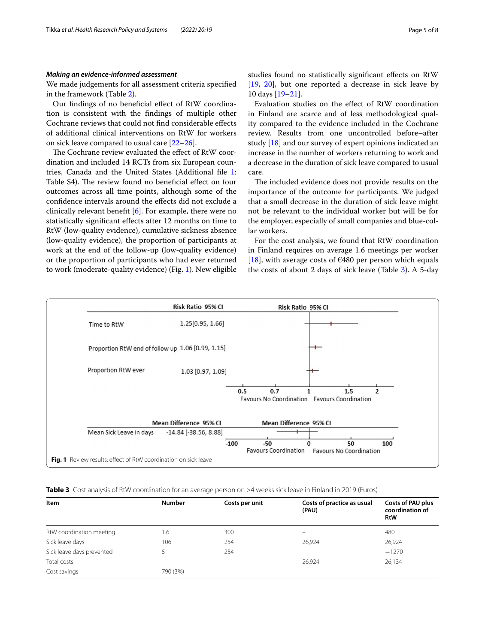#### *Making an evidence‑informed assessment*

We made judgements for all assessment criteria specifed in the framework (Table [2](#page-3-0)).

Our fndings of no benefcial efect of RtW coordination is consistent with the fndings of multiple other Cochrane reviews that could not fnd considerable efects of additional clinical interventions on RtW for workers on sick leave compared to usual care [[22–](#page-7-21)[26](#page-7-22)].

The Cochrane review evaluated the effect of RtW coordination and included 14 RCTs from six European countries, Canada and the United States (Additional fle [1](#page-6-0): Table S4). The review found no beneficial effect on four outcomes across all time points, although some of the confdence intervals around the efects did not exclude a clinically relevant beneft [\[6](#page-7-5)]. For example, there were no statistically signifcant efects after 12 months on time to RtW (low-quality evidence), cumulative sickness absence (low-quality evidence), the proportion of participants at work at the end of the follow-up (low-quality evidence) or the proportion of participants who had ever returned to work (moderate-quality evidence) (Fig. [1](#page-4-0)). New eligible studies found no statistically signifcant efects on RtW [[19,](#page-7-17) [20](#page-7-23)], but one reported a decrease in sick leave by 10 days [\[19](#page-7-17)[–21\]](#page-7-18).

Evaluation studies on the efect of RtW coordination in Finland are scarce and of less methodological quality compared to the evidence included in the Cochrane review. Results from one uncontrolled before–after study [\[18](#page-7-16)] and our survey of expert opinions indicated an increase in the number of workers returning to work and a decrease in the duration of sick leave compared to usual care.

The included evidence does not provide results on the importance of the outcome for participants. We judged that a small decrease in the duration of sick leave might not be relevant to the individual worker but will be for the employer, especially of small companies and blue-collar workers.

For the cost analysis, we found that RtW coordination in Finland requires on average 1.6 meetings per worker [[18\]](#page-7-16), with average costs of  $\epsilon$ 480 per person which equals the costs of about 2 days of sick leave (Table [3\)](#page-4-1). A 5-day



<span id="page-4-1"></span><span id="page-4-0"></span>**Table 3** Cost analysis of RtW coordination for an average person on >4 weeks sick leave in Finland in 2019 (Euros)

| Item                      | <b>Number</b> | Costs per unit | Costs of practice as usual<br>(PAU) | Costs of PAU plus<br>coordination of<br><b>RtW</b> |
|---------------------------|---------------|----------------|-------------------------------------|----------------------------------------------------|
| RtW coordination meeting  | 1.6           | 300            | $\overline{\phantom{0}}$            | 480                                                |
| Sick leave days           | 106           | 254            | 26,924                              | 26,924                                             |
| Sick leave days prevented |               | 254            |                                     | $-1270$                                            |
| Total costs               |               |                | 26,924                              | 26,134                                             |
| Cost savings              | 790 (3%)      |                |                                     |                                                    |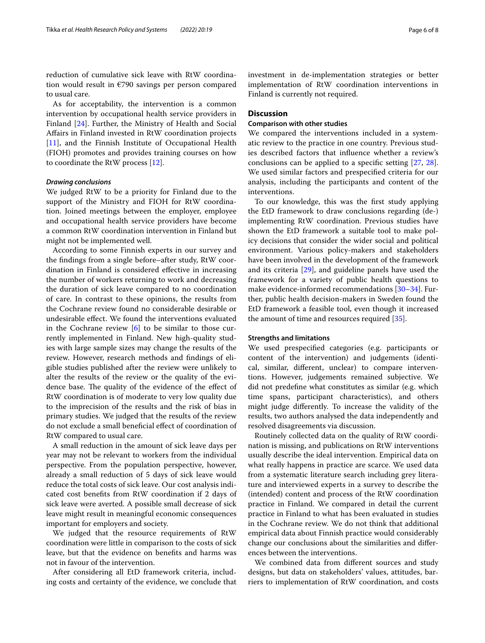reduction of cumulative sick leave with RtW coordination would result in €790 savings per person compared to usual care.

As for acceptability, the intervention is a common intervention by occupational health service providers in Finland [\[24](#page-7-20)]. Further, the Ministry of Health and Social Afairs in Finland invested in RtW coordination projects [[11\]](#page-7-10), and the Finnish Institute of Occupational Health (FIOH) promotes and provides training courses on how to coordinate the RtW process [[12](#page-7-11)].

#### *Drawing conclusions*

We judged RtW to be a priority for Finland due to the support of the Ministry and FIOH for RtW coordination. Joined meetings between the employer, employee and occupational health service providers have become a common RtW coordination intervention in Finland but might not be implemented well.

According to some Finnish experts in our survey and the fndings from a single before–after study, RtW coordination in Finland is considered efective in increasing the number of workers returning to work and decreasing the duration of sick leave compared to no coordination of care. In contrast to these opinions, the results from the Cochrane review found no considerable desirable or undesirable efect. We found the interventions evaluated in the Cochrane review  $[6]$  $[6]$  to be similar to those currently implemented in Finland. New high-quality studies with large sample sizes may change the results of the review. However, research methods and fndings of eligible studies published after the review were unlikely to alter the results of the review or the quality of the evidence base. The quality of the evidence of the effect of RtW coordination is of moderate to very low quality due to the imprecision of the results and the risk of bias in primary studies. We judged that the results of the review do not exclude a small benefcial efect of coordination of RtW compared to usual care.

A small reduction in the amount of sick leave days per year may not be relevant to workers from the individual perspective. From the population perspective, however, already a small reduction of 5 days of sick leave would reduce the total costs of sick leave. Our cost analysis indicated cost benefts from RtW coordination if 2 days of sick leave were averted. A possible small decrease of sick leave might result in meaningful economic consequences important for employers and society.

We judged that the resource requirements of RtW coordination were little in comparison to the costs of sick leave, but that the evidence on benefts and harms was not in favour of the intervention.

After considering all EtD framework criteria, including costs and certainty of the evidence, we conclude that investment in de-implementation strategies or better implementation of RtW coordination interventions in Finland is currently not required.

### **Discussion**

#### **Comparison with other studies**

We compared the interventions included in a systematic review to the practice in one country. Previous studies described factors that infuence whether a review's conclusions can be applied to a specifc setting [[27,](#page-7-24) [28](#page-7-19)]. We used similar factors and prespecifed criteria for our analysis, including the participants and content of the interventions.

To our knowledge, this was the frst study applying the EtD framework to draw conclusions regarding (de-) implementing RtW coordination. Previous studies have shown the EtD framework a suitable tool to make policy decisions that consider the wider social and political environment. Various policy-makers and stakeholders have been involved in the development of the framework and its criteria [[29\]](#page-7-25), and guideline panels have used the framework for a variety of public health questions to make evidence-informed recommendations [\[30–](#page-7-26)[34\]](#page-7-27). Further, public health decision-makers in Sweden found the EtD framework a feasible tool, even though it increased the amount of time and resources required [[35](#page-7-28)].

#### **Strengths and limitations**

We used prespecifed categories (e.g. participants or content of the intervention) and judgements (identical, similar, diferent, unclear) to compare interventions. However, judgements remained subjective. We did not predefne what constitutes as similar (e.g. which time spans, participant characteristics), and others might judge diferently. To increase the validity of the results, two authors analysed the data independently and resolved disagreements via discussion.

Routinely collected data on the quality of RtW coordination is missing, and publications on RtW interventions usually describe the ideal intervention. Empirical data on what really happens in practice are scarce. We used data from a systematic literature search including grey literature and interviewed experts in a survey to describe the (intended) content and process of the RtW coordination practice in Finland. We compared in detail the current practice in Finland to what has been evaluated in studies in the Cochrane review. We do not think that additional empirical data about Finnish practice would considerably change our conclusions about the similarities and diferences between the interventions.

We combined data from diferent sources and study designs, but data on stakeholders' values, attitudes, barriers to implementation of RtW coordination, and costs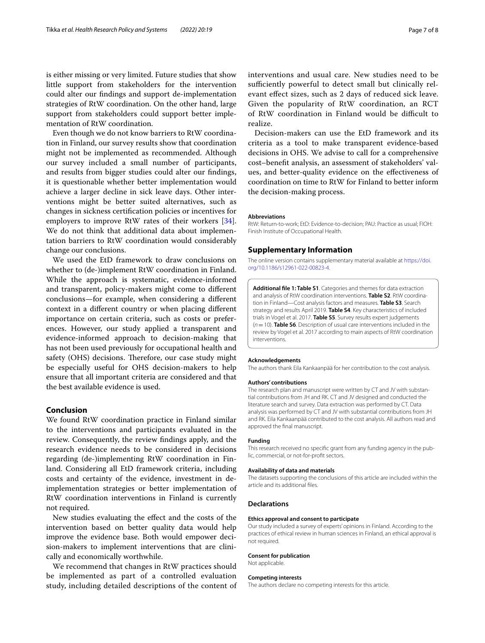is either missing or very limited. Future studies that show little support from stakeholders for the intervention could alter our fndings and support de-implementation strategies of RtW coordination. On the other hand, large support from stakeholders could support better implementation of RtW coordination.

Even though we do not know barriers to RtW coordination in Finland, our survey results show that coordination might not be implemented as recommended. Although our survey included a small number of participants, and results from bigger studies could alter our fndings, it is questionable whether better implementation would achieve a larger decline in sick leave days. Other interventions might be better suited alternatives, such as changes in sickness certifcation policies or incentives for employers to improve RtW rates of their workers [\[34](#page-7-27)]. We do not think that additional data about implementation barriers to RtW coordination would considerably change our conclusions.

We used the EtD framework to draw conclusions on whether to (de-)implement RtW coordination in Finland. While the approach is systematic, evidence-informed and transparent, policy-makers might come to diferent conclusions—for example, when considering a diferent context in a diferent country or when placing diferent importance on certain criteria, such as costs or preferences. However, our study applied a transparent and evidence-informed approach to decision-making that has not been used previously for occupational health and safety (OHS) decisions. Therefore, our case study might be especially useful for OHS decision-makers to help ensure that all important criteria are considered and that the best available evidence is used.

### **Conclusion**

We found RtW coordination practice in Finland similar to the interventions and participants evaluated in the review. Consequently, the review fndings apply, and the research evidence needs to be considered in decisions regarding (de-)implementing RtW coordination in Finland. Considering all EtD framework criteria, including costs and certainty of the evidence, investment in deimplementation strategies or better implementation of RtW coordination interventions in Finland is currently not required.

New studies evaluating the efect and the costs of the intervention based on better quality data would help improve the evidence base. Both would empower decision-makers to implement interventions that are clinically and economically worthwhile.

We recommend that changes in RtW practices should be implemented as part of a controlled evaluation study, including detailed descriptions of the content of

interventions and usual care. New studies need to be sufficiently powerful to detect small but clinically relevant efect sizes, such as 2 days of reduced sick leave. Given the popularity of RtW coordination, an RCT of RtW coordination in Finland would be difficult to realize.

Decision-makers can use the EtD framework and its criteria as a tool to make transparent evidence-based decisions in OHS. We advise to call for a comprehensive cost–beneft analysis, an assessment of stakeholders' values, and better-quality evidence on the efectiveness of coordination on time to RtW for Finland to better inform the decision-making process.

#### **Abbreviations**

RtW: Return-to-work; EtD: Evidence-to-decision; PAU: Practice as usual; FIOH: Finish Institute of Occupational Health.

#### **Supplementary Information**

The online version contains supplementary material available at [https://doi.](https://doi.org/10.1186/s12961-022-00823-4) [org/10.1186/s12961-022-00823-4](https://doi.org/10.1186/s12961-022-00823-4).

<span id="page-6-0"></span>**Additional fle 1: Table S1**. Categories and themes for data extraction and analysis of RtW coordination interventions. **Table S2**. RtW coordination in Finland—Cost analysis factors and measures. **Table S3**. Search strategy and results April 2019. **Table S4**. Key characteristics of included trials in Vogel et al. 2017. **Table S5**. Survey results expert judgements (*n*=10). **Table S6**. Description of usual care interventions included in the review by Vogel et al. 2017 according to main aspects of RtW coordination interventions.

#### **Acknowledgements**

The authors thank Eila Kankaanpää for her contribution to the cost analysis.

#### **Authors' contributions**

The research plan and manuscript were written by CT and JV with substantial contributions from JH and RK. CT and JV designed and conducted the literature search and survey. Data extraction was performed by CT. Data analysis was performed by CT and JV with substantial contributions from JH and RK. Eila Kankaanpää contributed to the cost analysis. All authors read and approved the fnal manuscript.

#### **Funding**

This research received no specifc grant from any funding agency in the public, commercial, or not-for-proft sectors.

#### **Availability of data and materials**

The datasets supporting the conclusions of this article are included within the article and its additional fles.

#### **Declarations**

#### **Ethics approval and consent to participate**

Our study included a survey of experts' opinions in Finland. According to the practices of ethical review in human sciences in Finland, an ethical approval is not required.

#### **Consent for publication**

Not applicable.

#### **Competing interests**

The authors declare no competing interests for this article.